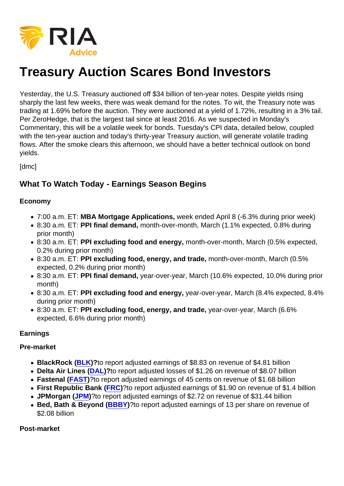# Treasury Auction Scares Bond Investors

Yesterday, the U.S. Treasury auctioned off \$34 billion of ten-year notes. Despite yields rising sharply the last few weeks, there was weak demand for the notes. To wit, the Treasury note was trading at 1.69% before the auction. They were auctioned at a yield of 1.72%, resulting in a 3% tail. Per ZeroHedge, that is the largest tail since at least 2016. As we suspected in Monday's Commentary, this will be a volatile week for bonds. Tuesday's CPI data, detailed below, coupled with the ten-year auction and today's thirty-year Treasury auction, will generate volatile trading flows. After the smoke clears this afternoon, we should have a better technical outlook on bond yields.

[dmc]

## What To Watch Today - Earnings Season Begins

#### Economy

- 7:00 a.m. ET: MBA Mortgage Applications, week ended April 8 (-6.3% during prior week)
- 8:30 a.m. ET: PPI final demand, month-over-month, March (1.1% expected, 0.8% during prior month)
- 8:30 a.m. ET: PPI excluding food and energy, month-over-month, March (0.5% expected, 0.2% during prior month)
- 8:30 a.m. ET: PPI excluding food, energy, and trade, month-over-month, March (0.5% expected, 0.2% during prior month)
- 8:30 a.m. ET: PPI final demand, year-over-year, March (10.6% expected, 10.0% during prior month)
- 8:30 a.m. ET: PPI excluding food and energy, year-over-year, March (8.4% expected, 8.4% during prior month)
- 8:30 a.m. ET: PPI excluding food, energy, and trade, year-over-year, March (6.6% expected, 6.6% during prior month)

Earnings

Pre-market

- BlackRock ([BLK](https://finance.yahoo.com/quote/BLK?p=BLK&.tsrc=fin-srch))? to report adjusted earnings of \$8.83 on revenue of \$4.81 billion
- Delta Air Lines ( [DAL](https://finance.yahoo.com/quote/DAL?p=DAL&.tsrc=fin-srch))? to report adjusted losses of \$1.26 on revenue of \$8.07 billion
- Fastenal ([FAST](https://finance.yahoo.com/quote/FAST?p=FAST&.tsrc=fin-srch))?to report adjusted earnings of 45 cents on revenue of \$1.68 billion
- First Republic Bank ([FRC\)](https://finance.yahoo.com/quote/FRC?p=FRC&.tsrc=fin-srch)?to report adjusted earnings of \$1.90 on revenue of \$1.4 billion
- [JPM](https://finance.yahoo.com/quote/JPM?p=JPM&.tsrc=fin-srch)organ (JPM)?to report adjusted earnings of \$2.72 on revenue of \$31.44 billion
- Bed, Bath & Beyond ([BBBY\)](https://finance.yahoo.com/quote/BBBY?p=BBBY&.tsrc=fin-srch)?to report adjusted earnings of 13 per share on revenue of \$2.08 billion

Post-market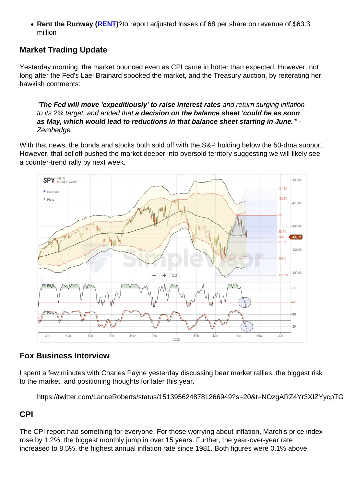• Rent the Runway ([RENT](https://finance.yahoo.com/quote/RENT?p=RENT&.tsrc=fin-srch))? to report adjusted losses of 68 per share on revenue of \$63.3 million

# Market Trading Update

Yesterday morning, the market bounced even as CPI came in hotter than expected. However, not long after the Fed's Lael Brainard spooked the market, and the Treasury auction, by reiterating her hawkish comments:

"The Fed will move 'expeditiously' to raise interest rates and return surging inflation to its 2% target, and added that a decision on the balance sheet 'could be as soon as May, which would lead to reductions in that balance sheet starting in June. " -Zerohedge

With that news, the bonds and stocks both sold off with the S&P holding below the 50-dma support. However, that selloff pushed the market deeper into oversold territory suggesting we will likely see a counter-trend rally by next week.

## Fox Business Interview

I spent a few minutes with Charles Payne yesterday discussing bear market rallies, the biggest risk to the market, and positioning thoughts for later this year.

https://twitter.com/LanceRoberts/status/1513956248781266949?s=20&t=NOzgARZ4Yr3XIZYycpTG

#### CPI

The CPI report had something for everyone. For those worrying about inflation, March's price index rose by 1.2%, the biggest monthly jump in over 15 years. Further, the year-over-year rate increased to 8.5%, the highest annual inflation rate since 1981. Both figures were 0.1% above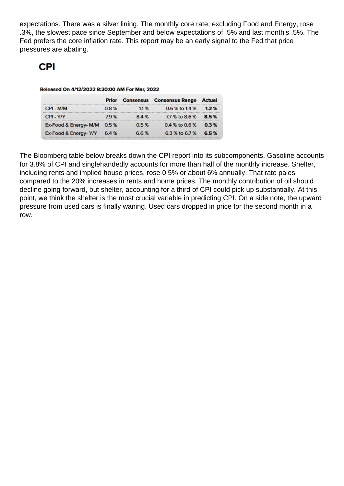expectations. There was a silver lining. The monthly core rate, excluding Food and Energy, rose .3%, the slowest pace since September and below expectations of .5% and last month's .5%. The Fed prefers the core inflation rate. This report may be an early signal to the Fed that price pressures are abating.

The Bloomberg table below breaks down the CPI report into its subcomponents. Gasoline accounts for 3.8% of CPI and singlehandedly accounts for more than half of the monthly increase. Shelter, including rents and implied house prices, rose 0.5% or about 6% annually. That rate pales compared to the 20% increases in rents and home prices. The monthly contribution of oil should decline going forward, but shelter, accounting for a third of CPI could pick up substantially. At this point, we think the shelter is the most crucial variable in predicting CPI. On a side note, the upward pressure from used cars is finally waning. Used cars dropped in price for the second month in a row.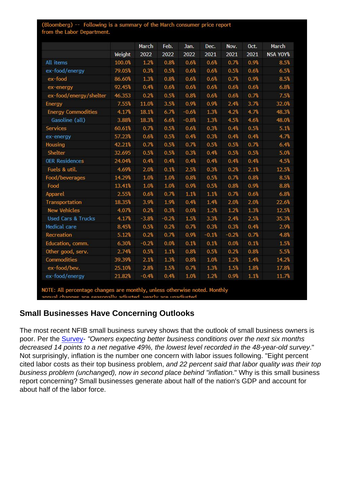## Small Businesses Have Concerning Outlooks

The most recent NFIB small business survey shows that the outlook of small business owners is poor. Per the [Survey](https://www.nfib.com/surveys/small-business-economic-trends/)- "Owners expecting better business conditions over the next six months decreased 14 points to a net negative 49%, the lowest level recorded in the 48-year-old survey." Not surprisingly, inflation is the number one concern with labor issues following. "Eight percent cited labor costs as their top business problem, and 22 percent said that labor quality was their top business problem (unchanged), now in second place behind "inflation." Why is this small business report concerning? Small businesses generate about half of the nation's GDP and account for about half of the labor force.